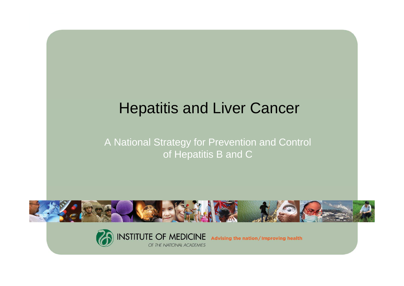# Hepatitis and Liver Cancer

#### A National Strategy for Prevention and Control of Hepatitis B and C



OF THE NATIONAL ACADEMIES



Advising the nation/Improving health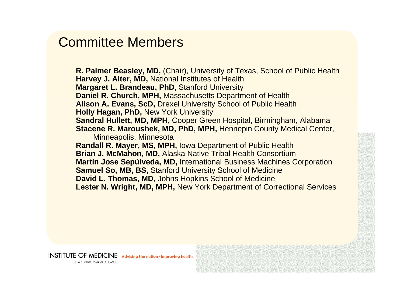#### Committee Members

**R. Palmer Beasley, MD,** (Chair), University of Texas, School of Public Health **Harvey J. Alter, MD,** National Institutes of Health **Margaret L. Brandeau, PhD**, Stanford University **Daniel R. Church, MPH,** Massachusetts Department of Health **Alison A. Evans, ScD,** Drexel University School of Public Health **Holly Hagan, PhD,** New York University **Sandral Hullett, MD, MPH,** Cooper Green Hospital, Birmingham, Alabama **Stacene R. Maroushek, MD, PhD, MPH,** Hennepin County Medical Center, Minneapolis, Minnesota **Randall R. Mayer, MS, MPH,** Iowa Department of Public Health **Brian J. McMahon, MD,** Alaska Native Tribal Health Consortium **Martín Jose Sepúlveda, MD,** International Business Machines Corporation **Samuel So, MB, BS,** Stanford University School of Medicine **David L. Thomas, MD**, Johns Hopkins School of Medicine **Lester N. Wright, MD, MPH,** New York Department of Correctional Services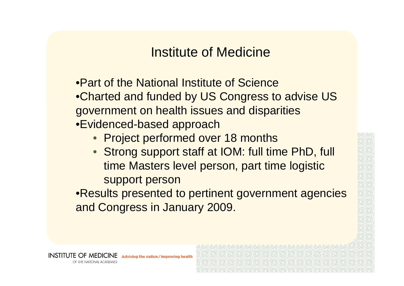## Institute of Medicine

- •Part of the National Institute of Science•Charted and funded by US Congress to advise US government on health issues and disparities •Evidenced-based approach
	- Project performed over 18 months
	- Strong support staff at IOM: full time PhD, full time Masters level person, part time logistic support person

•Results presented to pertinent government agencies and Congress in January 2009.

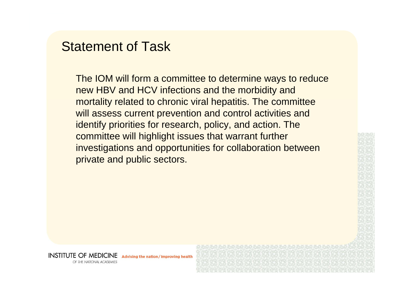#### Statement of Task

The IOM will form a committee to determine ways to reduce new HBV and HCV infections and the morbidity and mortality related to chronic viral hepatitis. The committee will assess current prevention and control activities and identify priorities for research, policy, and action. The committee will highlight issues that warrant further investigations and opportunities for collaboration between private and public sectors.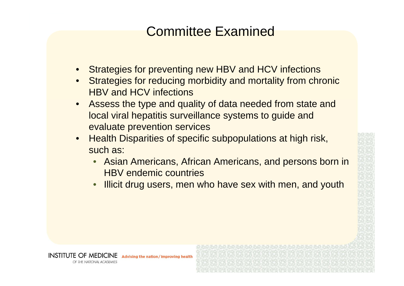# Committee Examined

- •Strategies for preventing new HBV and HCV infections
- • Strategies for reducing morbidity and mortality from chronic HBV and HCV infections
- • Assess the type and quality of data needed from state and local viral hepatitis surveillance systems to guide and evaluate prevention services
- • Health Disparities of specific subpopulations at high risk, such as:

Advising the nation / Improving health

INSTITUTE OF MEDICINE

OF THE NATIONAL ACADEMIES

- • Asian Americans, African Americans, and persons born in HBV endemic countries
- •Illicit drug users, men who have sex with men, and youth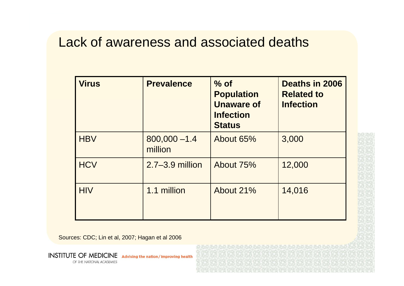#### Lack of awareness and associated deaths

| <b>Virus</b> | <b>Prevalence</b>          | $%$ of<br><b>Population</b><br><b>Unaware of</b><br><b>Infection</b><br><b>Status</b> | Deaths in 2006<br><b>Related to</b><br><b>Infection</b> |
|--------------|----------------------------|---------------------------------------------------------------------------------------|---------------------------------------------------------|
| <b>HBV</b>   | $800,000 - 1.4$<br>million | About 65%                                                                             | 3,000                                                   |
| <b>HCV</b>   | $2.7 - 3.9$ million        | About 75%                                                                             | 12,000                                                  |
| <b>HIV</b>   | 1.1 million                | About 21%                                                                             | 14,016                                                  |

Sources: CDC; Lin et al, 2007; Hagan et al 2006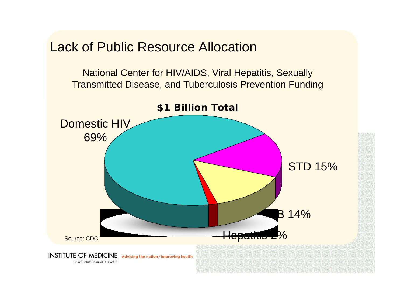Lack of Public Resource Allocation

National Center for HIV/AIDS, Viral Hepatitis, Sexually Transmitted Disease, and Tuberculosis Prevention Funding

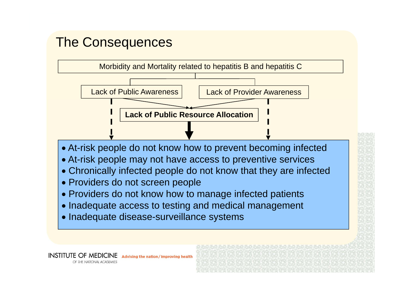# The Consequences

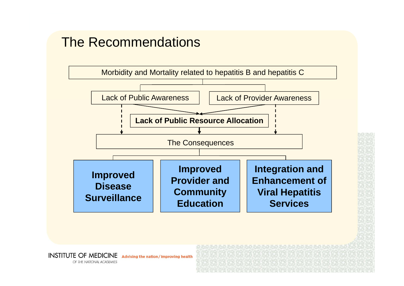# The Recommendations

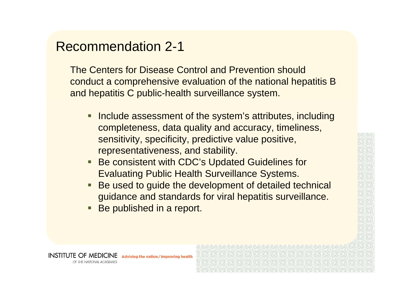#### Recommendation 2-1

The Centers for Disease Control and Prevention should conduct a comprehensive evaluation of the national hepatitis B and hepatitis C public-health surveillance system.

- **Include assessment of the system's attributes, including** completeness, data quality and accuracy, timeliness, sensitivity, specificity, predictive value positive, representativeness, and stability.
- eri<br>Ka Be consistent with CDC's Updated Guidelines for Evaluating Public Health Surveillance Systems.
- eri<br>Ka Be used to guide the development of detailed technical guidance and standards for viral hepatitis surveillance.
- eri<br>Ka Be published in a report.

Advising the nation / Improving health

INSTITUTE OF MEDICINE

OF THE NATIONAL ACADEMIES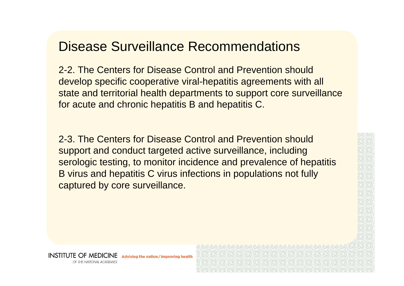## Disease Surveillance Recommendations

2-2. The Centers for Disease Control and Prevention should develop specific cooperative viral-hepatitis agreements with all state and territorial health departments to support core surveillance for acute and chronic hepatitis B and hepatitis C.

2-3. The Centers for Disease Control and Prevention should support and conduct targeted active surveillance, including serologic testing, to monitor incidence and prevalence of hepatitis B virus and hepatitis C virus infections in populations not fully captured by core surveillance.

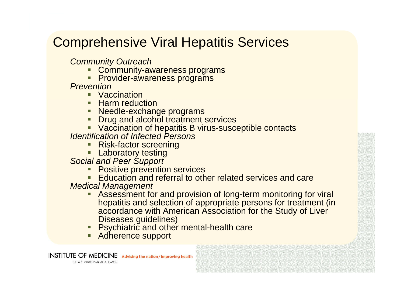# Comprehensive Viral Hepatitis Services

*Community Outreach*

- Г Community-awareness programs
- **Provider-awareness programs**

*Prevention* 

- Vaccination
- **Harm reduction**
- Needle-exchange programs
- **Drug and alcohol treatment services**
- Vaccination of hepatitis B virus-susceptible contacts

*Identification of Infected Persons*

- г Risk-factor screening
- **Laboratory testing**

*Social and Peer Support* 

- Positive prevention services
- **Education and referral to other related services and care**

*Medical Management*

- г Assessment for and provision of long-term monitoring for viral hepatitis and selection of appropriate persons for treatment (in accordance with American Association for the Study of Liver Diseases guidelines)
- г **Psychiatric and other mental-health care**
- **Adherence support**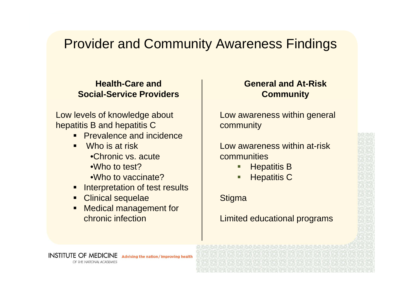# Provider and Community Awareness Findings

#### **Health-Care and Social-Service Providers**

Low levels of knowledge about hepatitis B and hepatitis C

- **Prevalence and incidence**
- Who is at risk
	- •Chronic vs. acute
	- •Who to test?
	- •Who to vaccinate?
- **Interpretation of test results**
- **Clinical sequelae**
- $\blacksquare$  Medical management for chronic infection

#### **General and At-Risk Community**

Low awareness within general community

#### Low awareness within at-risk communities

- п Hepatitis B
- ▉ Hepatitis C

#### **Stigma**

Limited educational programs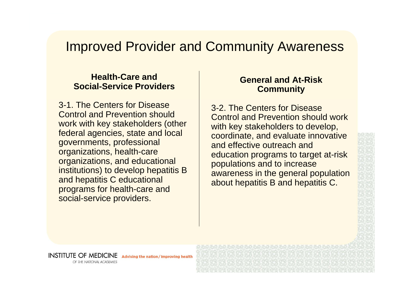#### Improved Provider and Community Awareness

#### **Health-Care and Social-Service Providers**

3-1. The Centers for Disease Control and Prevention should work with key stakeholders (other federal agencies, state and local governments, professional organizations, health-care organizations, and educational institutions) to develop hepatitis B and hepatitis C educational programs for health-care and social-service providers.

Advising the nation / Improving health

#### **General and At-Risk Community**

3-2. The Centers for Disease Control and Prevention should work with key stakeholders to develop, coordinate, and evaluate innovative and effective outreach and education programs to target at-risk populations and to increase awareness in the general population about hepatitis B and hepatitis C.

OF THE NATIONAL ACADEMIES

**INSTITUTE OF MEDICINE**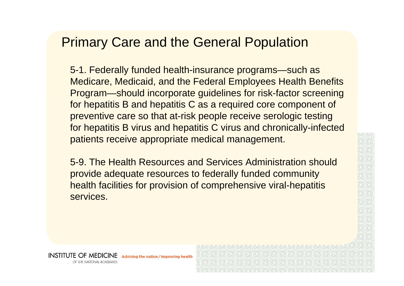## Primary Care and the General Population

5-1. Federally funded health-insurance programs—such as Medicare, Medicaid, and the Federal Employees Health Benefits Program—should incorporate guidelines for risk-factor screening for hepatitis B and hepatitis C as a required core component of preventive care so that at-risk people receive serologic testing for hepatitis B virus and hepatitis C virus and chronically-infected patients receive appropriate medical management.

5-9. The Health Resources and Services Administration should provide adequate resources to federally funded community health facilities for provision of comprehensive viral-hepatitis services.

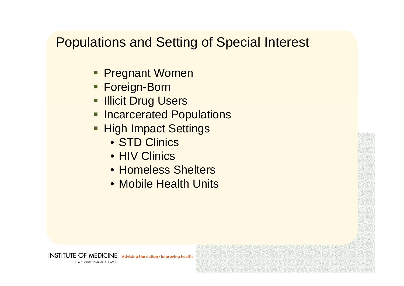# Populations and Setting of Special Interest

- **Pregnant Women**
- Foreign-Born
- **Illicit Drug Users**
- **Incarcerated Populations**
- **High Impact Settings** 
	- STD Clinics
	- HIV Clinics

**INSTITUTE OF MEDICINE** 

OF THE NATIONAL ACADEMIES

- Homeless Shelters
- Mobile Health Units

Advising the nation / Improving health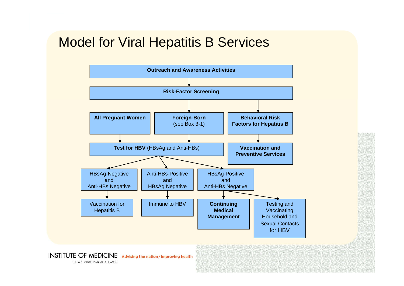# Model for Viral Hepatitis B Services

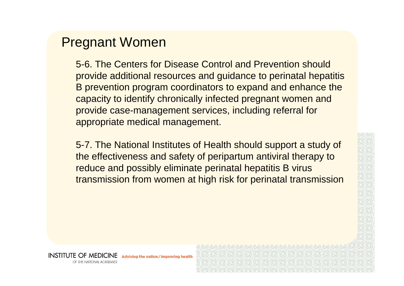#### Pregnant Women

5-6. The Centers for Disease Control and Prevention should provide additional resources and guidance to perinatal hepatitis B prevention program coordinators to expand and enhance the capacity to identify chronically infected pregnant women and provide case-management services, including referral for appropriate medical management.

5-7. The National Institutes of Health should support a study of the effectiveness and safety of peripartum antiviral therapy to reduce and possibly eliminate perinatal hepatitis B virus transmission from women at high risk for perinatal transmission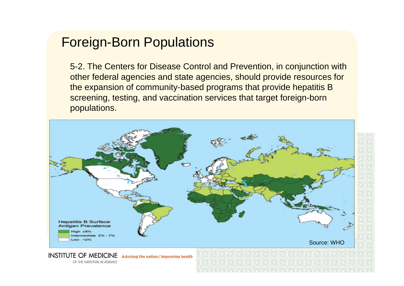# Foreign-Born Populations

5-2. The Centers for Disease Control and Prevention, in conjunction with other federal agencies and state agencies, should provide resources for the expansion of community-based programs that provide hepatitis B screening, testing, and vaccination services that target foreign-born populations.



OF THE NATIONAL ACADEMIES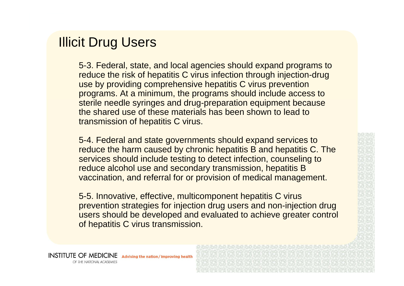#### Illicit Drug Users

5-3. Federal, state, and local agencies should expand programs to reduce the risk of hepatitis C virus infection through injection-drug use by providing comprehensive hepatitis C virus prevention programs. At a minimum, the programs should include access to sterile needle syringes and drug-preparation equipment because the shared use of these materials has been shown to lead to transmission of hepatitis C virus.

5-4. Federal and state governments should expand services to reduce the harm caused by chronic hepatitis B and hepatitis C. The services should include testing to detect infection, counseling to reduce alcohol use and secondary transmission, hepatitis B vaccination, and referral for or provision of medical management.

5-5. Innovative, effective, multicomponent hepatitis C virus prevention strategies for injection drug users and non-injection drug users should be developed and evaluated to achieve greater control of hepatitis C virus transmission.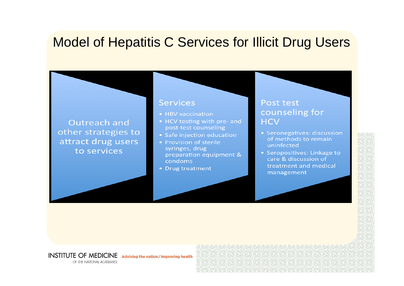# Model of Hepatitis C Services for Illicit Drug Users

#### Outreach and other strategies to attract drug users to services

#### **Services**

- HBV vaccination
- HCV testing with pre- and post-test counseling
- Safe injection education
- Provision of sterile syringes, drug preparation equipment & condoms
- Drug treatment

#### **Post test** counseling for **HCV**

- Seronegatives: discussion of methods to remain uninfected
- Seropositives: Linkage to care & discussion of treatment and medical management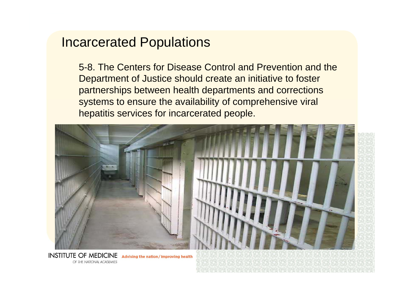#### Incarcerated Populations

5-8. The Centers for Disease Control and Prevention and the Department of Justice should create an initiative to foster partnerships between health departments and corrections systems to ensure the availability of comprehensive viral hepatitis services for incarcerated people.



Advising the nation / Improving health OF THE NATIONAL ACADEMIES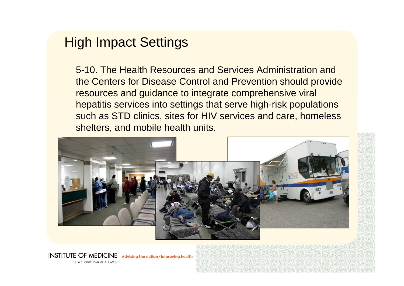#### High Impact Settings

5-10. The Health Resources and Services Administration and the Centers for Disease Control and Prevention should provide resources and guidance to integrate comprehensive viral hepatitis services into settings that serve high-risk populations such as STD clinics, sites for HIV services and care, homeless shelters, and mobile health units.